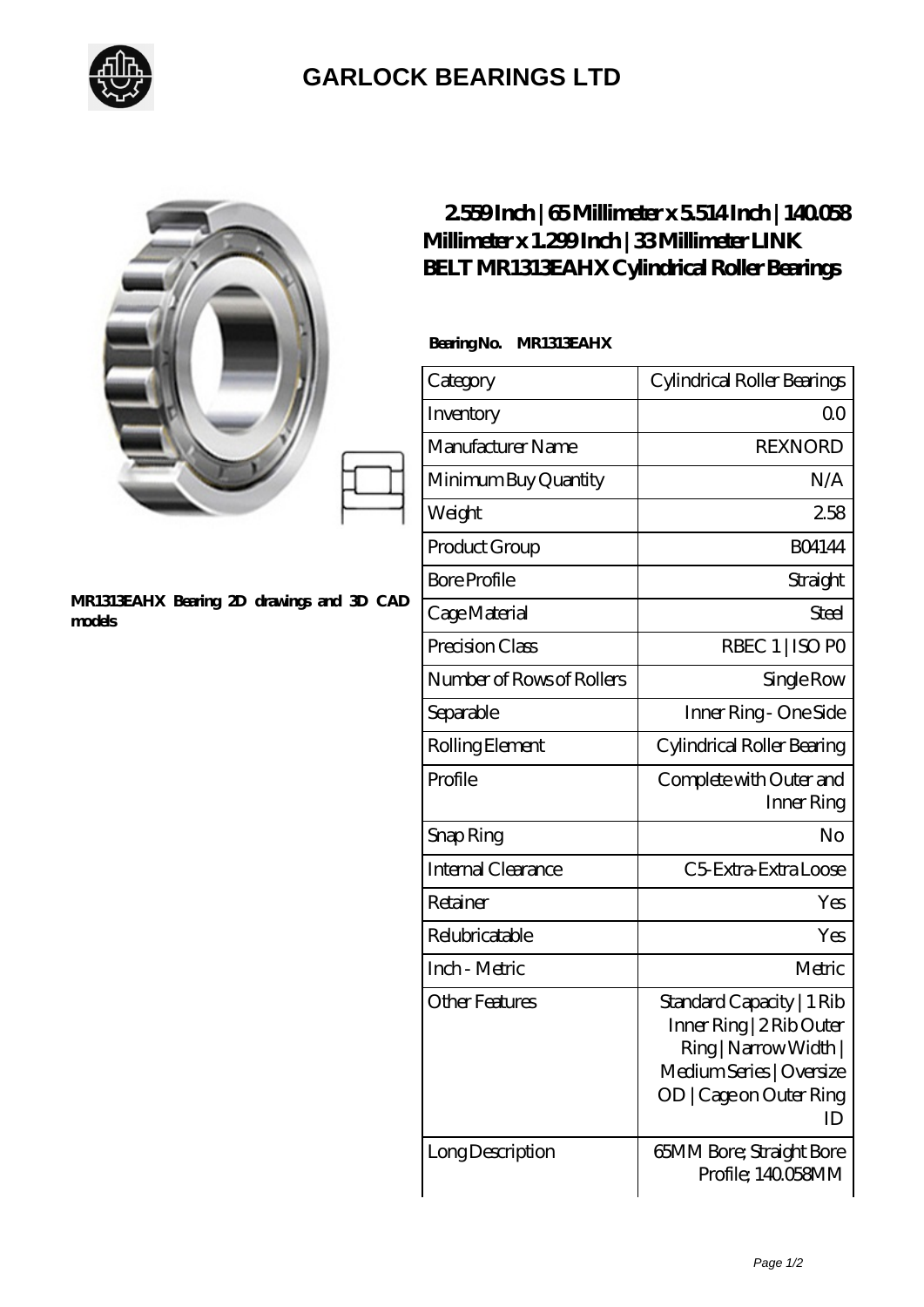

## **[GARLOCK BEARINGS LTD](https://m.letterstopriests.com)**

|                                                     | 2559Inch   65Millimeter x 5514Inch   140058<br>Millimeter x 1.299Inch   33Millimeter LINK<br>BELT MR1313EAHX Cylindrical Roller Bearings |                                                                                                                                             |
|-----------------------------------------------------|------------------------------------------------------------------------------------------------------------------------------------------|---------------------------------------------------------------------------------------------------------------------------------------------|
| MR1313EAHX Bearing 2D drawings and 3D CAD<br>models | BearingNo.<br>MR1313EAHX                                                                                                                 |                                                                                                                                             |
|                                                     | Category                                                                                                                                 | Cylindrical Roller Bearings                                                                                                                 |
|                                                     | Inventory                                                                                                                                | Q <sub>O</sub>                                                                                                                              |
|                                                     | Manufacturer Name                                                                                                                        | <b>REXNORD</b>                                                                                                                              |
|                                                     | Minimum Buy Quantity                                                                                                                     | N/A                                                                                                                                         |
|                                                     | Weight                                                                                                                                   | 258                                                                                                                                         |
|                                                     | Product Group                                                                                                                            | <b>BO4144</b>                                                                                                                               |
|                                                     | <b>Bore Profile</b>                                                                                                                      | Straight                                                                                                                                    |
|                                                     | Cage Material                                                                                                                            | Steel                                                                                                                                       |
|                                                     | Precision Class                                                                                                                          | RBEC 1   ISO PO                                                                                                                             |
|                                                     | Number of Rows of Rollers                                                                                                                | Single Row                                                                                                                                  |
|                                                     | Separable                                                                                                                                | Inner Ring - One Side                                                                                                                       |
|                                                     | Rolling Element                                                                                                                          | Cylindrical Roller Bearing                                                                                                                  |
|                                                     | Profile                                                                                                                                  | Complete with Outer and<br>Inner Ring                                                                                                       |
|                                                     | Snap Ring                                                                                                                                | No                                                                                                                                          |
|                                                     | Internal Clearance                                                                                                                       | C5 Extra Extra Loose                                                                                                                        |
|                                                     | Retainer                                                                                                                                 | Yes                                                                                                                                         |
|                                                     | Relubricatable                                                                                                                           | Yes                                                                                                                                         |
|                                                     | Inch - Metric                                                                                                                            | Metric                                                                                                                                      |
|                                                     | <b>Other Features</b>                                                                                                                    | Standard Capacity   1 Rib<br>Inner Ring   2 Rib Outer<br>Ring   Narrow Width  <br>Medium Series   Oversize<br>OD   Cage on Outer Ring<br>ID |
|                                                     | Long Description                                                                                                                         | 65MM Bore; Straight Bore<br>Profile; 140058MM                                                                                               |